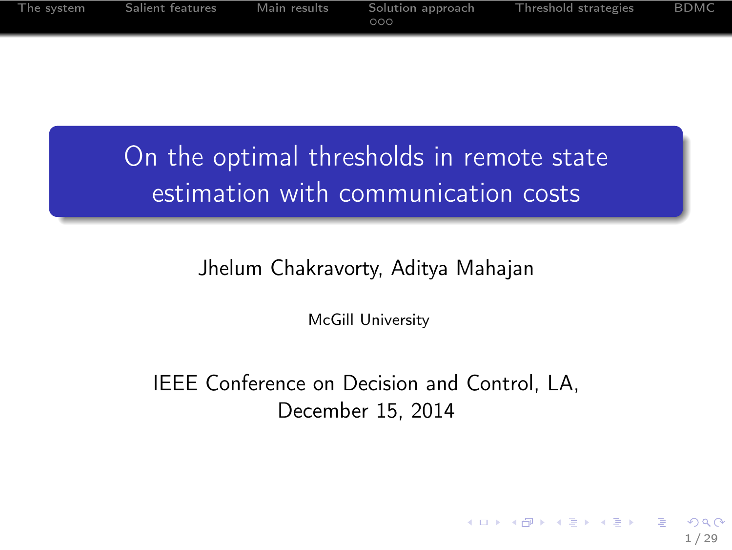|  | The system       Salient features        Main results        Solution approach<br>000 | Threshold strategies | <b>BDMC</b> |
|--|---------------------------------------------------------------------------------------|----------------------|-------------|
|  |                                                                                       |                      |             |

On the optimal thresholds in remote state estimation with communication costs

Jhelum Chakravorty, Aditya Mahajan

McGill University

IEEE Conference on Decision and Control, LA, December 15, 2014

1 / 29

K ロ K K @ K K R X X R K T R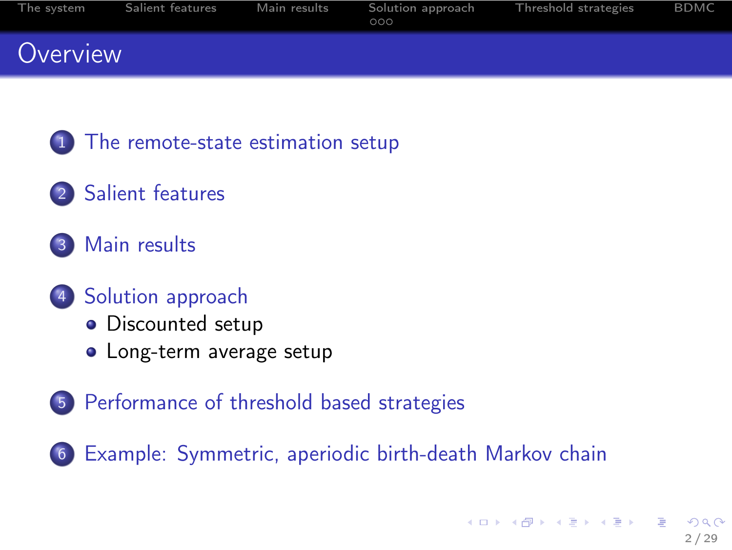| The svstem | Salient features | Main results | Solution approach<br>000 | Threshold strategies | BDMC |
|------------|------------------|--------------|--------------------------|----------------------|------|
| Overview   |                  |              |                          |                      |      |

1 [The remote-state estimation setup](#page-3-0)

- 2 [Salient features](#page-7-0)
- 3 [Main results](#page-11-0)
- 4 [Solution approach](#page-16-0)
	- **•** [Discounted setup](#page-17-0)
	- [Long-term average setup](#page-19-0)
- 5 [Performance of threshold based strategies](#page-22-0)

6 [Example: Symmetric, aperiodic birth-death Markov chain](#page-43-0)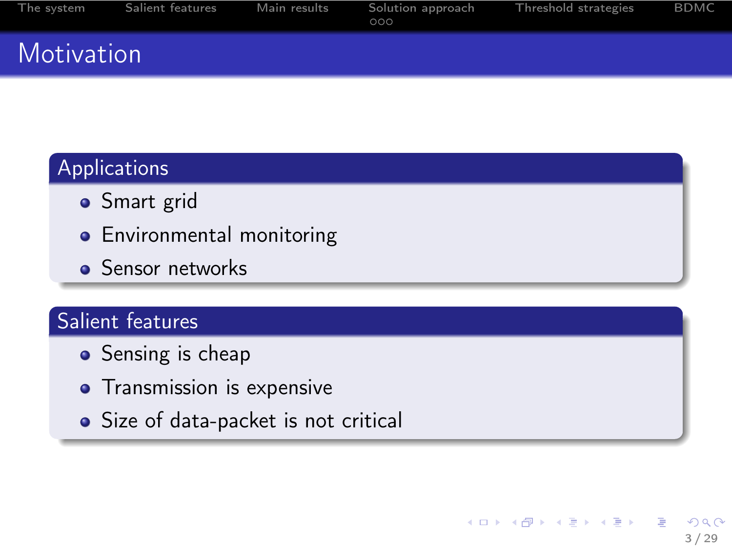| The svstem | Salient features | Main results | Solution approach<br>000 | Threshold strategies | <b>BDMC</b> |
|------------|------------------|--------------|--------------------------|----------------------|-------------|
| Motivation |                  |              |                          |                      |             |

3 / 29

 $209$ 

目

지갑 데 지갑 데 지금 데 지금 데

# Applications

- **•** Smart grid
- **•** Environmental monitoring
- **•** Sensor networks

# Salient features

- Sensing is cheap
- **•** Transmission is expensive
- Size of data-packet is not critical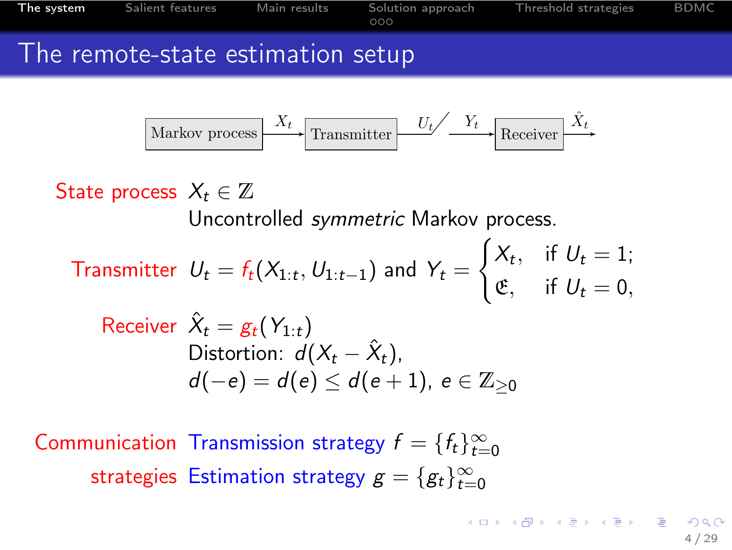**[The system](#page-3-0)** [Salient features](#page-7-0) [Main results](#page-11-0) [Solution approach](#page-16-0) [Threshold strategies](#page-22-0) [BDMC](#page-43-0)<br>000 The remote-state estimation setup



State process  $X_t \in \mathbb{Z}$ Uncontrolled symmetric Markov process. Transmitter  $U_t = f_t(X_{1:t}, U_{1:t-1})$  and  $Y_t =$  $\int X_t$ , if  $U_t = 1$ ;  $\mathfrak{E}$ , if  $U_t = 0$ ,

<span id="page-3-0"></span>Receiver 
$$
\hat{X}_t = g_t(Y_{1:t})
$$

\nDistortion: 
$$
d(X_t - \hat{X}_t),
$$

\n
$$
d(-e) = d(e) \leq d(e+1), e \in \mathbb{Z}_{\geq 0}
$$

Communication Transmission strategy  $f = \{f_t\}_{t=0}^{\infty}$ strategies Estimation strategy  $g = \{g_t\}_{t=0}^\infty$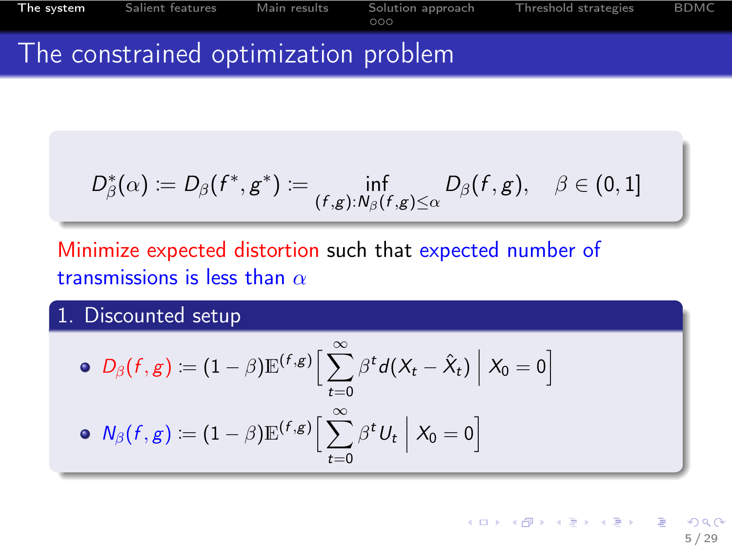

$$
D_{\beta}^{*}(\alpha) \coloneqq D_{\beta}(f^{*}, g^{*}) \coloneqq \inf_{(f,g): N_{\beta}(f,g) \leq \alpha} D_{\beta}(f,g), \quad \beta \in (0,1]
$$

# Minimize expected distortion such that expected number of transmissions is less than  $\alpha$

#### 1. Discounted setup

\n- \n
$$
D_{\beta}(f,g) := (1-\beta)\mathbb{E}^{(f,g)}\Big[\sum_{t=0}^{\infty} \beta^t d(X_t - \hat{X}_t) \Big| X_0 = 0\Big]
$$
\n
\n- \n
$$
N_{\beta}(f,g) := (1-\beta)\mathbb{E}^{(f,g)}\Big[\sum_{t=0}^{\infty} \beta^t U_t \Big| X_0 = 0\Big]
$$
\n
\n

イロメ イ部メ イミメ イモメ  $209$ 5 / 29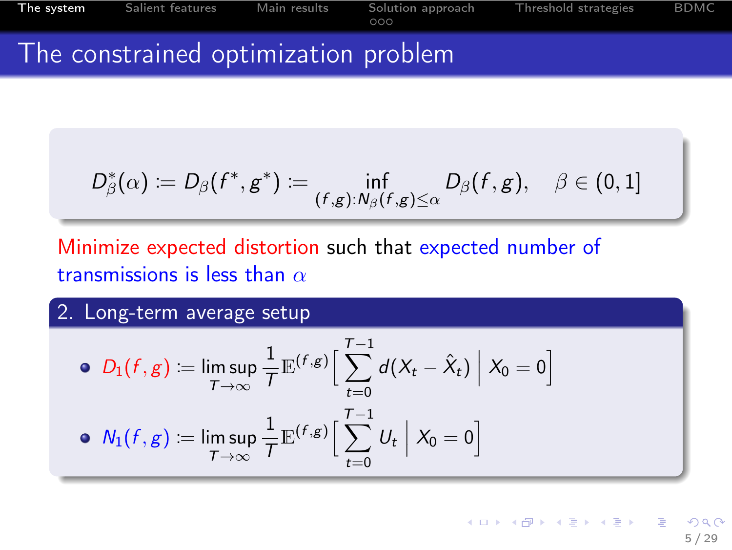

$$
D_{\beta}^{*}(\alpha)\coloneqq D_{\beta}(f^{*},g^{*})\coloneqq \inf_{(f,g):N_{\beta}(f,g)\leq \alpha}D_{\beta}(f,g),\quad \beta\in(0,1]
$$

# Minimize expected distortion such that expected number of transmissions is less than  $\alpha$

2. Long-term average setup

$$
\begin{aligned}\n\bullet \ D_1(f,g) &:= \limsup_{T \to \infty} \frac{1}{T} \mathbb{E}^{(f,g)} \Big[ \sum_{t=0}^{T-1} d(X_t - \hat{X}_t) \Big| \ X_0 = 0 \Big] \\
\bullet \ N_1(f,g) &:= \limsup_{T \to \infty} \frac{1}{T} \mathbb{E}^{(f,g)} \Big[ \sum_{t=0}^{T-1} U_t \Big| \ X_0 = 0 \Big]\n\end{aligned}
$$

**K ロ ト K 御 ト K 澄 ト K 澄 ト**  $\Omega$ 5 / 29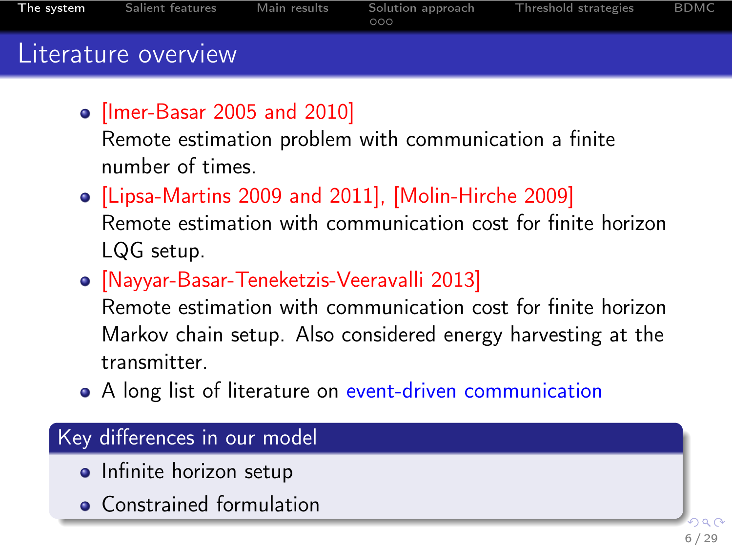| The system | Salient features    | Main results | Solution approach<br>000 | Threshold strategies | <b>BDMC</b> |
|------------|---------------------|--------------|--------------------------|----------------------|-------------|
|            | Literature overview |              |                          |                      |             |

[Imer-Basar 2005 and 2010]

Remote estimation problem with communication a finite number of times.

- [Lipsa-Martins 2009 and 2011], [Molin-Hirche 2009] Remote estimation with communication cost for finite horizon LQG setup.
- [Nayyar-Basar-Teneketzis-Veeravalli 2013]

Remote estimation with communication cost for finite horizon Markov chain setup. Also considered energy harvesting at the transmitter.

A long list of literature on event-driven communication

#### Key differences in our model

- Infinite horizon setup
- **Constrained formulation**

6 / 29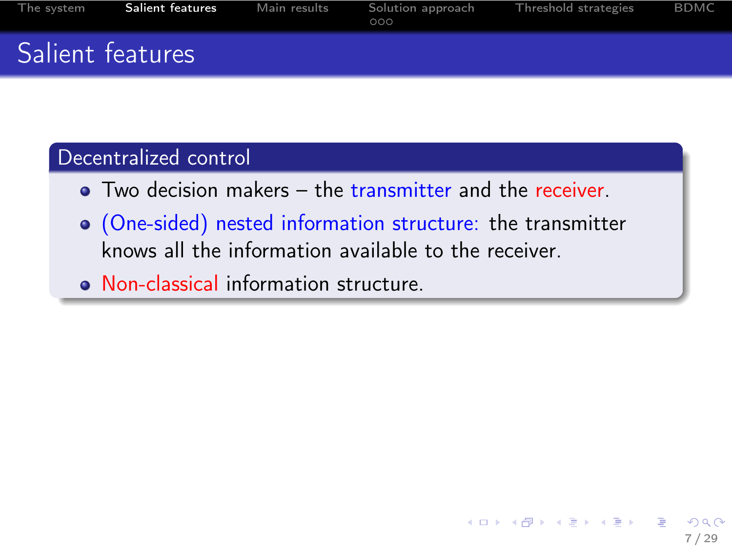| The system       | Salient features | Main results | Solution approach<br>000 | Threshold strategies | BDMC |
|------------------|------------------|--------------|--------------------------|----------------------|------|
| Salient features |                  |              |                          |                      |      |

#### Decentralized control

- Two decision makers the transmitter and the receiver.
- (One-sided) nested information structure: the transmitter knows all the information available to the receiver.
- <span id="page-7-0"></span>• Non-classical information structure.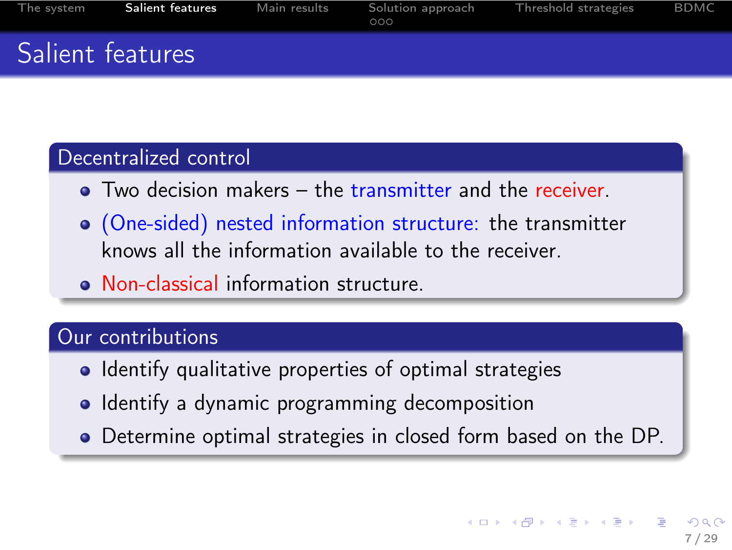| The system       | Salient features | Main results | Solution approach<br>000 | Threshold strategies | <b>BDMC</b> |
|------------------|------------------|--------------|--------------------------|----------------------|-------------|
| Salient features |                  |              |                          |                      |             |

#### Decentralized control

- Two decision makers the transmitter and the receiver.
- (One-sided) nested information structure: the transmitter knows all the information available to the receiver.
- Non-classical information structure.

#### Our contributions

- Identify qualitative properties of optimal strategies
- Identify a dynamic programming decomposition
- Determine optimal strategies in closed form based on the DP.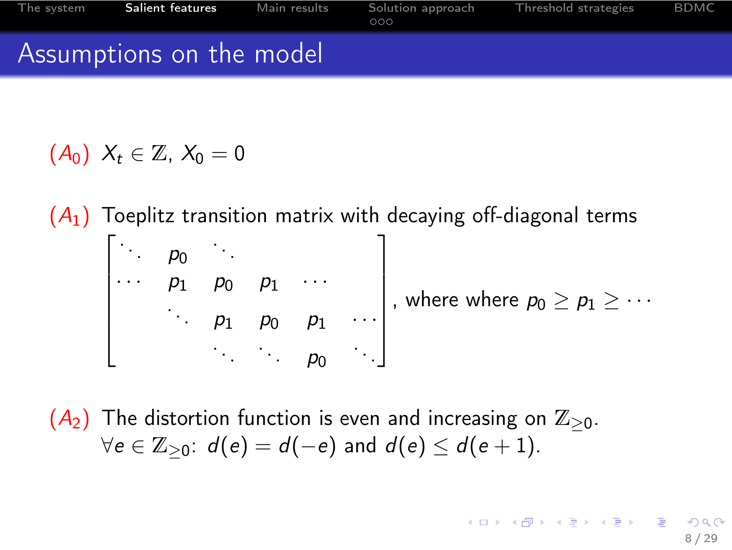| The svstem | Salient features         | Main results | Solution approach<br>000 | Threshold strategies | <b>BDMC</b> |
|------------|--------------------------|--------------|--------------------------|----------------------|-------------|
|            | Assumptions on the model |              |                          |                      |             |

$$
(A_0) X_t \in \mathbb{Z}, X_0 = 0
$$

 $(A_1)$  Toeplitz transition matrix with decaying off-diagonal terms

 . . . p<sup>0</sup> . . . · · · p<sup>1</sup> p<sup>0</sup> p<sup>1</sup> · · · . . . p<sup>1</sup> p<sup>0</sup> p<sup>1</sup> · · · . . . . . . p<sup>0</sup> . . . , where where p<sup>0</sup> ≥ p<sup>1</sup> ≥ · · ·

 $(A_2)$  The distortion function is even and increasing on  $\mathbb{Z}_{\geq 0}$ .  $\forall e \in \mathbb{Z}_{\geq 0}$ :  $d(e) = d(-e)$  and  $d(e) \leq d(e+1)$ .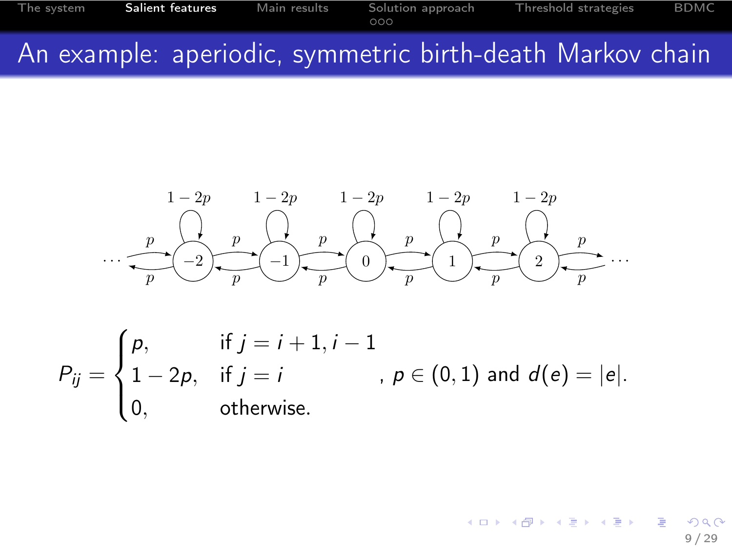



$$
P_{ij} = \begin{cases} p, & \text{if } j = i + 1, i - 1 \\ 1 - 2p, & \text{if } j = i \\ 0, & \text{otherwise.} \end{cases}, p \in (0, 1) \text{ and } d(e) = |e|.
$$

지갑 데 지갑 데 지금 데 지금 데 э  $209$ 9 / 29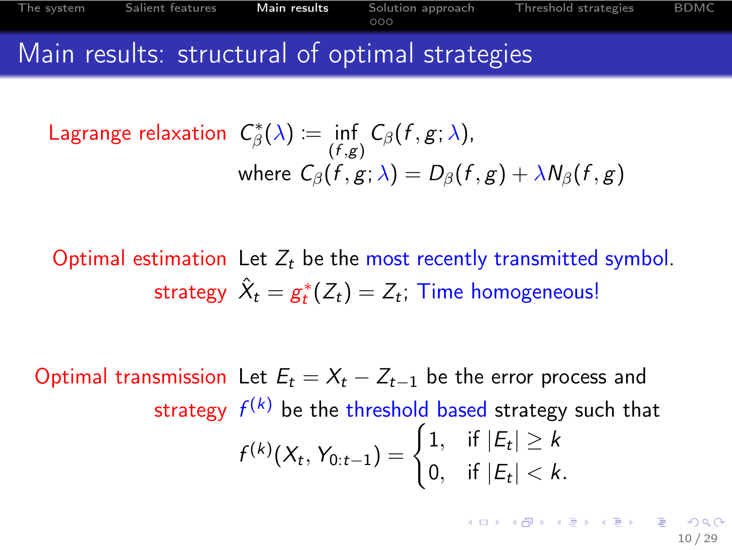

Lagrange relaxation

\n
$$
C_{\beta}^{*}(\lambda) := \inf_{(f,g)} C_{\beta}(f,g;\lambda),
$$
\nwhere

\n
$$
C_{\beta}(f,g;\lambda) = D_{\beta}(f,g) + \lambda N_{\beta}(f,g)
$$

Optimal estimation Let  $Z_t$  be the most recently transmitted symbol. strategy  $\hat{X}_t = g_t^*(Z_t) = Z_t$ ; Time homogeneous!

Optimal transmission Let  $E_t = X_t - Z_{t-1}$  be the error process and strategy  $\ f^{(k)}$  be the threshold based strategy such that  $f^{(k)}(X_t, Y_{0:t-1}) = \begin{cases} 1, & \text{if } |E_t| \geq k \\ 0, & \text{if } |E_t| \geq k \end{cases}$ 0, if  $|E_t| < k$ .

> <span id="page-11-0"></span> $\mathcal{A} \cap \mathcal{A} \rightarrow \mathcal{A} \oplus \mathcal{A} \rightarrow \mathcal{A} \oplus \mathcal{A} \rightarrow \mathcal{A} \oplus \mathcal{A}$ 10 / 29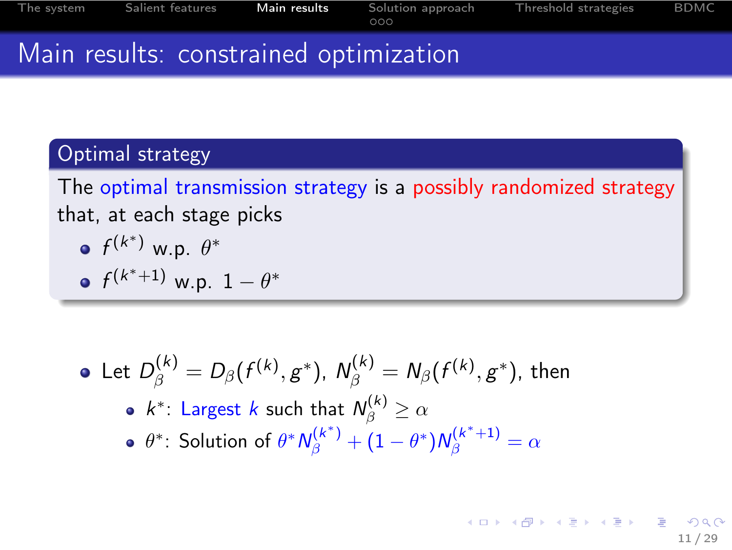[The system](#page-3-0) [Salient features](#page-7-0) [Main results](#page-11-0) [Solution approach](#page-16-0) [Threshold strategies](#page-22-0) [BDMC](#page-43-0)<br>000 Main results: constrained optimization

# Optimal strategy

The optimal transmission strategy is a possibly randomized strategy that, at each stage picks

$$
\bullet \ f^{(k^*)} \text{ w.p. } \theta^*
$$

• 
$$
f^{(k^*+1)}
$$
 w.p.  $1 - \theta^*$ 

\n- \n
$$
\text{Let } D_{\beta}^{(k)} = D_{\beta}(f^{(k)}, g^*), \ N_{\beta}^{(k)} = N_{\beta}(f^{(k)}, g^*), \text{ then}
$$
\n
\n- \n
$$
k^* \colon \text{Largest } k \text{ such that } N_{\beta}^{(k)} \geq \alpha
$$
\n
\n- \n
$$
\theta^* \colon \text{Solution of } \theta^* N_{\beta}^{(k^*)} + (1 - \theta^*) N_{\beta}^{(k^* + 1)} = \alpha
$$
\n
\n

キロメ メ都 メメ きょうくぼう  $\Omega$ 11 / 29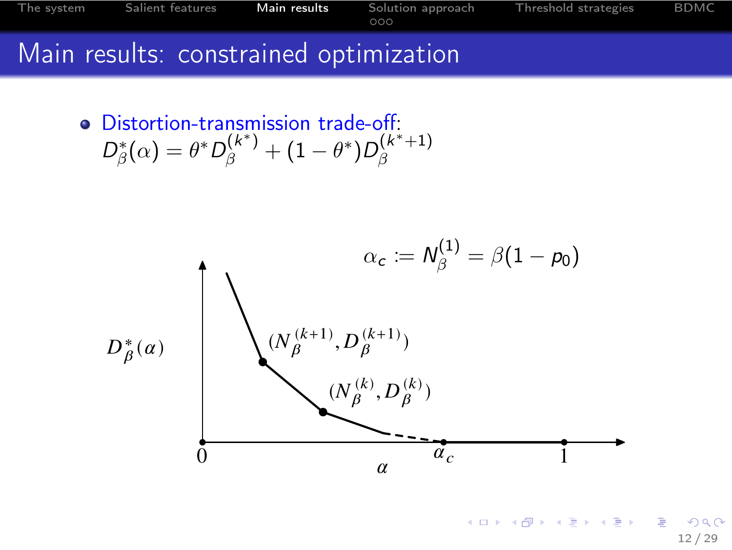

 $\bullet$ Distortion-transmission trade-off:  $D^*_{\beta}(\alpha) = \theta^* D_{\beta}^{(k^*)} + (1 - \theta^*) D_{\beta}^{(k^*+1)}$ β



K ロンバイ (足) 시 (足) 시 (足) 시 (足) 12 / 29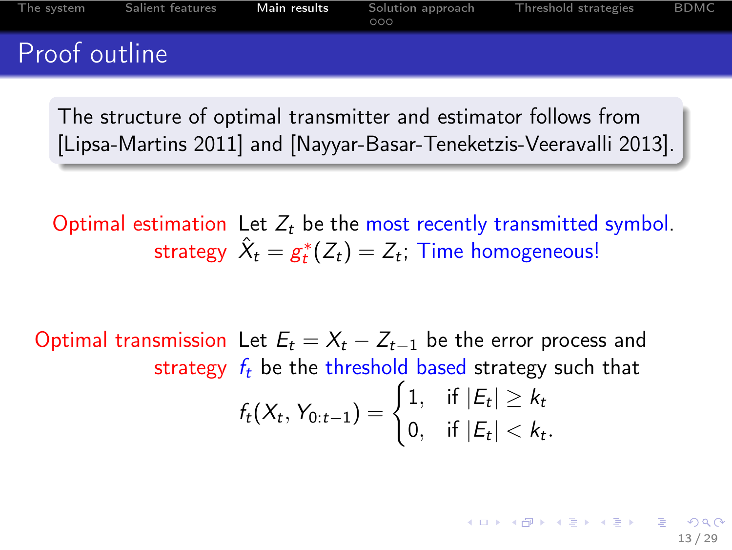

The structure of optimal transmitter and estimator follows from [Lipsa-Martins 2011] and [Nayyar-Basar-Teneketzis-Veeravalli 2013].

Optimal estimation Let  $Z_t$  be the most recently transmitted symbol. strategy  $\hat{X}_t = g_t^*(Z_t) = Z_t$ ; Time homogeneous!

Optimal transmission Let  $E_t = X_t - Z_{t-1}$  be the error process and strategy  $f_t$  be the threshold based strategy such that  $f_t(X_t, Y_{0:t-1}) = \begin{cases} 1, & \text{if } |E_t| \geq k_t \\ 0, & \text{if } |E_t| > l_t \end{cases}$ 0, if  $|E_t| < k_t$ .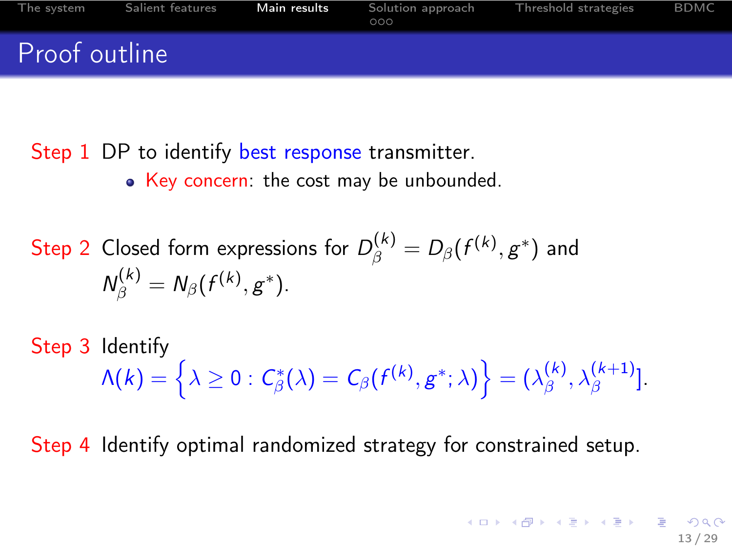

Step 1 DP to identify best response transmitter.

• Key concern: the cost may be unbounded.

Step 2 Closed form expressions for 
$$
D_{\beta}^{(k)} = D_{\beta}(f^{(k)}, g^*)
$$
 and  
\n
$$
N_{\beta}^{(k)} = N_{\beta}(f^{(k)}, g^*).
$$

Step 3 Identify  $\Lambda(k)=\left\lbrace \lambda\geq 0 \text{ : } \mathcal{C}^*_{\beta}(\lambda)=\mathcal{C}_{\beta}(f^{(k)},g^*;\lambda)\right\rbrace=(\lambda_{\beta}^{(k)})$  $\lambda_{\beta}^{(k)}, \lambda_{\beta}^{(k+1)}$ ].

Step 4 Identify optimal randomized strategy for constrained setup.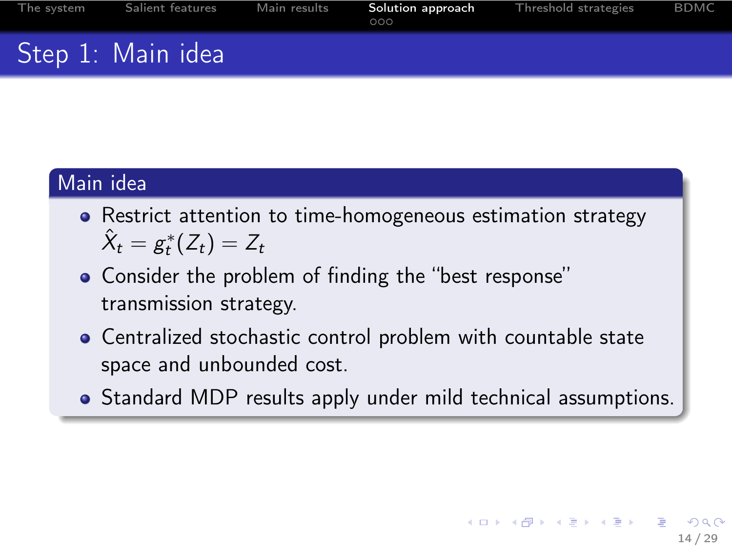| The system | Salient features  | Main results | Solution approach<br>000 | Threshold strategies | <b>BDMC</b> |
|------------|-------------------|--------------|--------------------------|----------------------|-------------|
|            | Step 1: Main idea |              |                          |                      |             |

#### Main idea

- Restrict attention to time-homogeneous estimation strategy  $\hat{X}_t = g_t^*(Z_t) = Z_t$
- Consider the problem of finding the "best response" transmission strategy.
- Centralized stochastic control problem with countable state space and unbounded cost.
- <span id="page-16-0"></span>Standard MDP results apply under mild technical assumptions.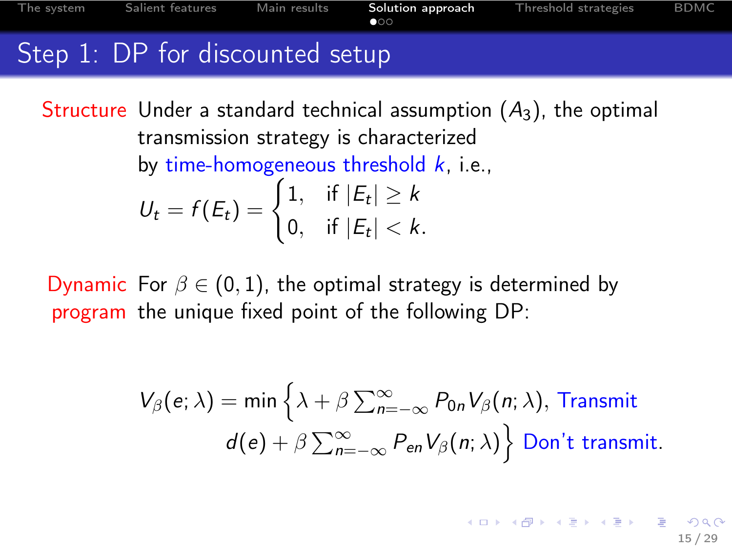[The system](#page-3-0) [Salient features](#page-7-0) [Main results](#page-11-0) [Solution approach](#page-16-0) [Threshold strategies](#page-22-0) [BDMC](#page-43-0)<br>OO Step 1: DP for discounted setup

Structure Under a standard technical assumption  $(A_3)$ , the optimal transmission strategy is characterized by time-homogeneous threshold  $k$ , i.e.,  $U_t = f(E_t) = \begin{cases} 1, & \text{if } |E_t| \geq k \\ 0, & \text{if } |E_t| > l \end{cases}$ 0, if  $|E_t| < k$ .

Dynamic For  $\beta \in (0,1)$ , the optimal strategy is determined by program the unique fixed point of the following DP:

<span id="page-17-0"></span>
$$
V_{\beta}(e; \lambda) = \min \left\{ \lambda + \beta \sum_{n=-\infty}^{\infty} P_{0n} V_{\beta}(n; \lambda), \text{ Transmit} \atop d(e) + \beta \sum_{n=-\infty}^{\infty} P_{en} V_{\beta}(n; \lambda) \right\} \text{ Don't transmit.}
$$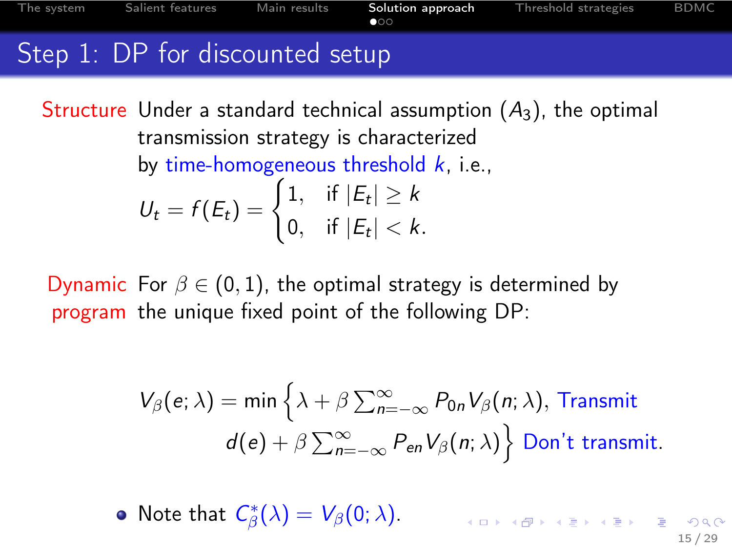[The system](#page-3-0) [Salient features](#page-7-0) [Main results](#page-11-0) [Solution approach](#page-16-0) [Threshold strategies](#page-22-0) [BDMC](#page-43-0)<br>OO Step 1: DP for discounted setup

Structure Under a standard technical assumption  $(A_3)$ , the optimal transmission strategy is characterized by time-homogeneous threshold  $k$ , i.e.,  $U_t = f(E_t) = \begin{cases} 1, & \text{if } |E_t| \geq k \\ 0, & \text{if } |E_t| > l \end{cases}$ 0, if  $|E_t| < k$ .

Dynamic For  $\beta \in (0,1)$ , the optimal strategy is determined by program the unique fixed point of the following DP:

$$
V_{\beta}(e; \lambda) = \min \left\{ \lambda + \beta \sum_{n=-\infty}^{\infty} P_{0n} V_{\beta}(n; \lambda), \text{ Transmit} \atop d(e) + \beta \sum_{n=-\infty}^{\infty} P_{en} V_{\beta}(n; \lambda) \right\} \text{ Don't transmit.}
$$

Note that  $C^*_{\beta}(\lambda) = V_{\beta}(0; \lambda)$ . K ロ X (日) X (日) X (日) X (日) X (日) X (日) X (日) X (日) X (日) X (日) 15 / 29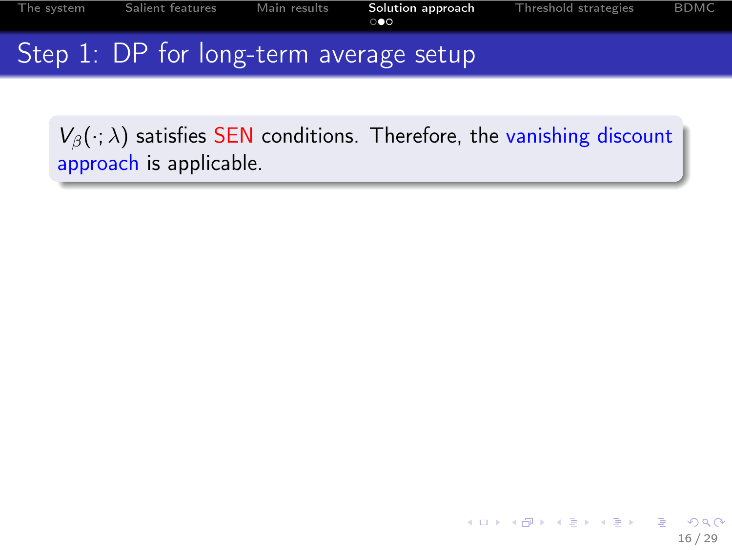[The system](#page-3-0) [Salient features](#page-7-0) [Main results](#page-11-0) [Solution approach](#page-16-0) [Threshold strategies](#page-22-0) [BDMC](#page-43-0)<br>00 Step 1: DP for long-term average setup

 $V_\beta(\cdot; \lambda)$  satisfies SEN conditions. Therefore, the vanishing discount approach is applicable.

<span id="page-19-0"></span>16 / 29

 $\Omega$ 

K ロ ▶ K 御 ▶ K 君 ▶ K 君 ▶ ...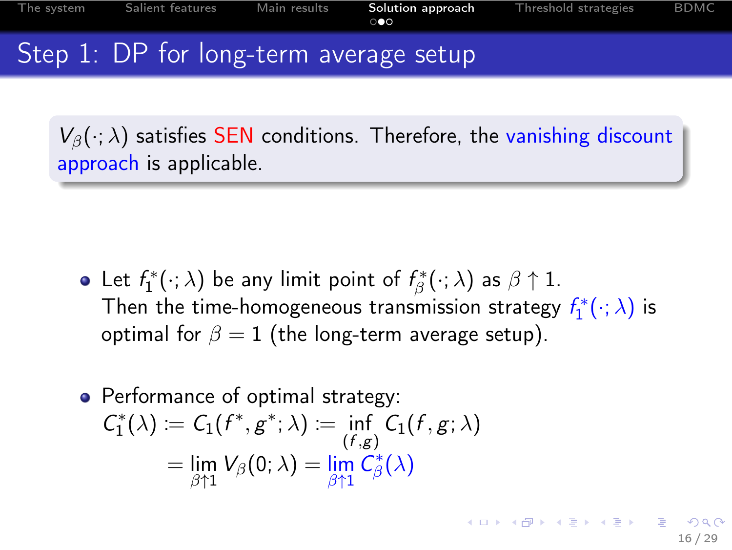[The system](#page-3-0) [Salient features](#page-7-0) [Main results](#page-11-0) [Solution approach](#page-16-0) [Threshold strategies](#page-22-0) [BDMC](#page-43-0) Step 1: DP for long-term average setup

 $V_\beta(\cdot; \lambda)$  satisfies SEN conditions. Therefore, the vanishing discount approach is applicable.

- Let  $f_1^*(\cdot; \lambda)$  be any limit point of  $f_\beta^*(\cdot; \lambda)$  as  $\beta \uparrow 1$ . Then the time-homogeneous transmission strategy  $f^*_1(\cdot;\lambda)$  is optimal for  $\beta = 1$  (the long-term average setup).
- Performance of optimal strategy:  $C_1^*(\lambda) \coloneqq C_1(f^*, g^*; \lambda) \coloneqq \inf_{(f,g)} C_1(f,g; \lambda)$  $=\lim_{\beta\uparrow 1}V_\beta(0;\lambda)=\lim_{\beta\uparrow 1}\widetilde{C}^*_\beta(\lambda)$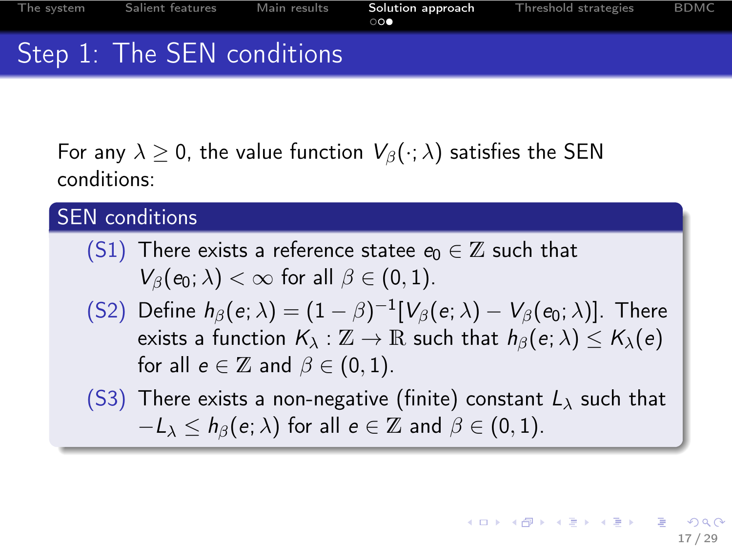[The system](#page-3-0) [Salient features](#page-7-0) [Main results](#page-11-0) [Solution approach](#page-16-0) [Threshold strategies](#page-22-0) [BDMC](#page-43-0)<br>000 Step 1: The SEN conditions

For any  $\lambda \geq 0$ , the value function  $V_\beta(\cdot; \lambda)$  satisfies the SEN conditions:

# SEN conditions

- (S1) There exists a reference statee  $e_0 \in \mathbb{Z}$  such that  $V_\beta(e_0; \lambda) < \infty$  for all  $\beta \in (0, 1)$ .
- (S2) Define  $h_\beta(e;\lambda)=(1-\beta)^{-1}[V_\beta(e;\lambda)-V_\beta(e_0;\lambda)].$  There exists a function  $K_\lambda : \mathbb{Z} \to \mathbb{R}$  such that  $h_\beta(e; \lambda) \leq K_\lambda(e)$ for all  $e \in \mathbb{Z}$  and  $\beta \in (0,1)$ .
- (S3) There exists a non-negative (finite) constant  $L_{\lambda}$  such that  $-L_{\lambda} \leq h_{\beta}(e; \lambda)$  for all  $e \in \mathbb{Z}$  and  $\beta \in (0, 1)$ .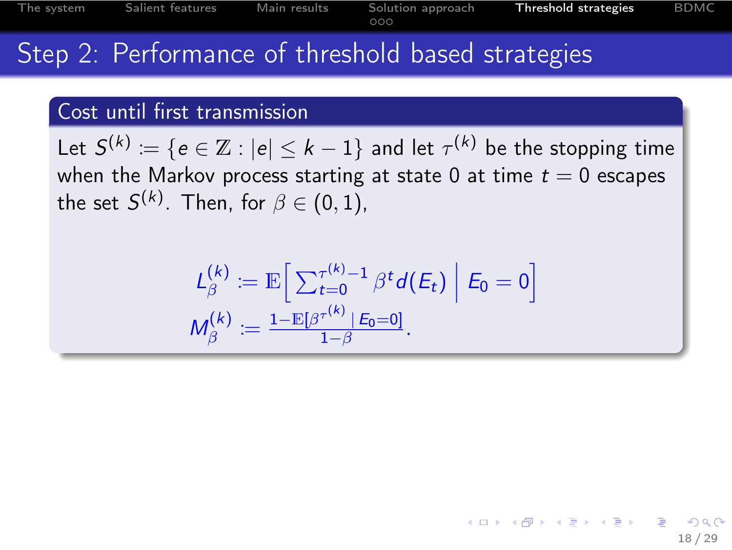[The system](#page-3-0) [Salient features](#page-7-0) [Main results](#page-11-0) [Solution approach](#page-16-0) [Threshold strategies](#page-22-0) [BDMC](#page-43-0)<br>000 Step 2: Performance of threshold based strategies

#### Cost until first transmission

Let  $\mathcal{S}^{(k)} \coloneqq \{e \in \mathbb{Z}: |e| \leq k-1\}$  and let  $\tau^{(k)}$  be the stopping time when the Markov process starting at state 0 at time  $t = 0$  escapes the set  $S^{(k)}.$  Then, for  $\beta\in(0,1),$ 

<span id="page-22-0"></span>
$$
\begin{aligned} L_{\beta}^{(k)} &:= \mathbb{E}\Big[\sum_{t=0}^{\tau^{(k)}-1} \beta^t d(E_t) \Big| E_0 = 0 \Big] \\ M_{\beta}^{(k)} &:= \frac{1 - \mathbb{E}[\beta^{\tau^{(k)}} \mid E_0 = 0]}{1 - \beta}. \end{aligned}
$$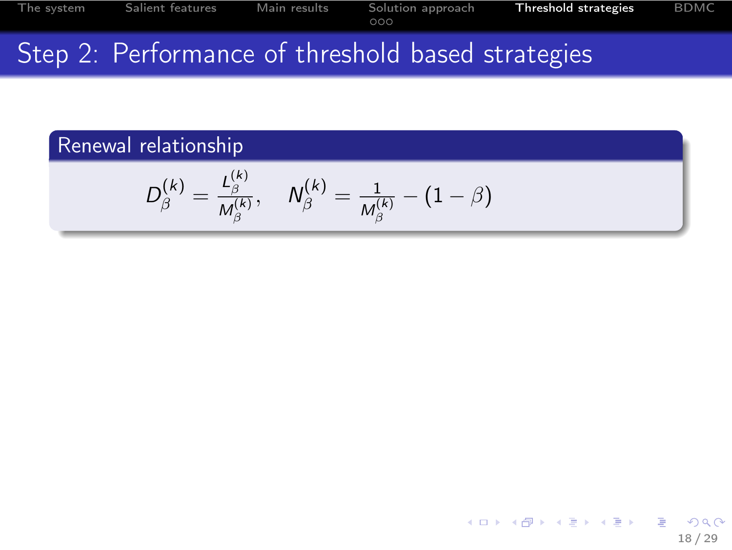[The system](#page-3-0) [Salient features](#page-7-0) [Main results](#page-11-0) [Solution approach](#page-16-0) [Threshold strategies](#page-22-0) [BDMC](#page-43-0)<br>000 Step 2: Performance of threshold based strategies

#### Renewal relationship

$$
D^{(k)}_{\beta} = \frac{L^{(k)}_{\beta}}{M^{(k)}_{\beta}}, \quad N^{(k)}_{\beta} = \frac{1}{M^{(k)}_{\beta}} - (1 - \beta)
$$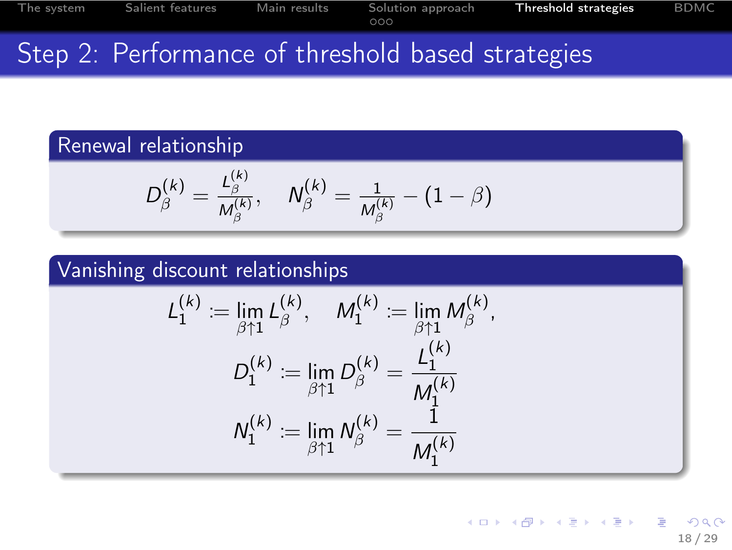[The system](#page-3-0) [Salient features](#page-7-0) [Main results](#page-11-0) [Solution approach](#page-16-0) [Threshold strategies](#page-22-0) [BDMC](#page-43-0)<br>000 Step 2: Performance of threshold based strategies

#### Renewal relationship

$$
D^{(k)}_{\beta} = \frac{L^{(k)}_{\beta}}{M^{(k)}_{\beta}}, \quad N^{(k)}_{\beta} = \frac{1}{M^{(k)}_{\beta}} - (1 - \beta)
$$

# Vanishing discount relationships

$$
\begin{aligned} L_1^{(k)} &:= \lim_{\beta \uparrow 1} L_\beta^{(k)}, \quad M_1^{(k)} := \lim_{\beta \uparrow 1} M_\beta^{(k)}, \\ D_1^{(k)} &:= \lim_{\beta \uparrow 1} D_\beta^{(k)} = \frac{L_1^{(k)}}{M_1^{(k)}} \\ N_1^{(k)} &:= \lim_{\beta \uparrow 1} N_\beta^{(k)} = \frac{1}{M_1^{(k)}} \end{aligned}
$$

イロト 不優 ト 不重 ト 不重 トー  $\Omega$ 18 / 29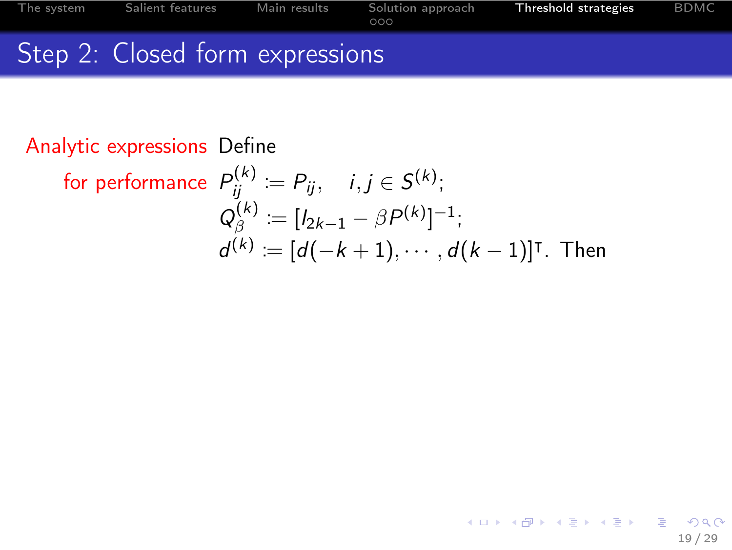

19 / 29

造

 $299$ 

メロト メ都 トメ 君 トメ 君 トー

#### Analytic expressions Define

for performance 
$$
P_{ij}^{(k)} := P_{ij}, \quad i, j \in S^{(k)}
$$
;  
\n $Q_{\beta}^{(k)} := [I_{2k-1} - \beta P^{(k)}]^{-1}$ ;  
\n $d^{(k)} := [d(-k+1), \cdots, d(k-1)]^{\top}$ . Then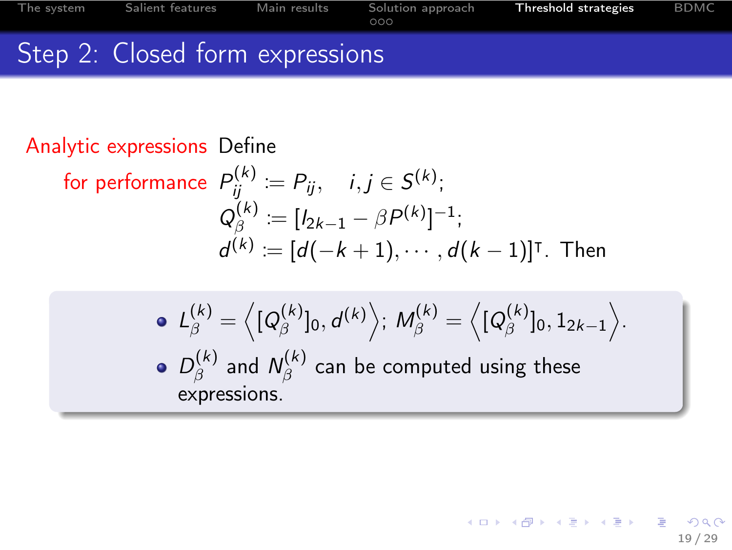# [The system](#page-3-0) [Salient features](#page-7-0) [Main results](#page-11-0) [Solution approach](#page-16-0) [Threshold strategies](#page-22-0) [BDMC](#page-43-0)<br>000 Step 2: Closed form expressions

#### Analytic expressions Define

for performance 
$$
P_{ij}^{(k)} := P_{ij}, \quad i, j \in S^{(k)};
$$
  
\n $Q_{\beta}^{(k)} := [I_{2k-1} - \beta P^{(k)}]^{-1};$   
\n $d^{(k)} := [d(-k+1), \cdots, d(k-1)]^{\top}.$  Then

\n- \n
$$
L_{\beta}^{(k)} = \left\langle [Q_{\beta}^{(k)}]_0, d^{(k)} \right\rangle; M_{\beta}^{(k)} = \left\langle [Q_{\beta}^{(k)}]_0, 1_{2k-1} \right\rangle.
$$
\n
\n- \n $D_{\beta}^{(k)}$  and  $N_{\beta}^{(k)}$  can be computed using these expressions.\n
\n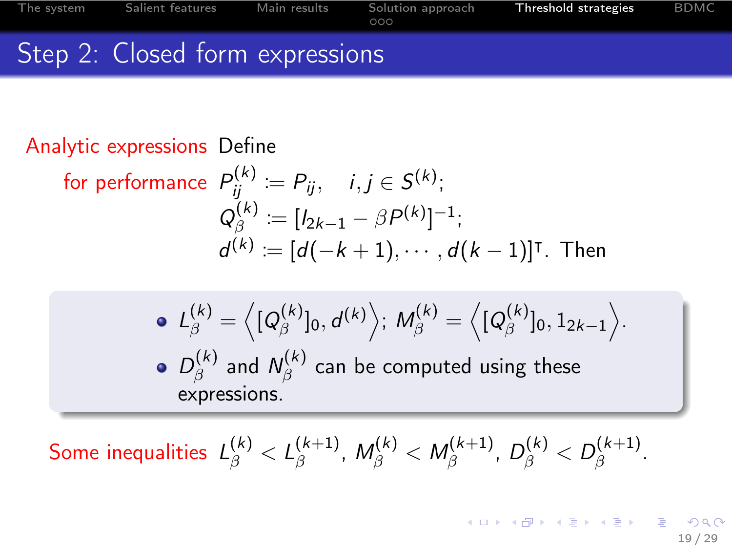# [The system](#page-3-0) [Salient features](#page-7-0) [Main results](#page-11-0) [Solution approach](#page-16-0) [Threshold strategies](#page-22-0) [BDMC](#page-43-0)<br>000 Step 2: Closed form expressions

### Analytic expressions Define

for performance 
$$
P_{ij}^{(k)} := P_{ij}, \quad i, j \in S^{(k)};
$$
  
\n $Q_{\beta}^{(k)} := [I_{2k-1} - \beta P^{(k)}]^{-1};$   
\n $d^{(k)} := [d(-k+1), \cdots, d(k-1)]^{\mathsf{T}}.$  Then

\n- \n
$$
L_{\beta}^{(k)} = \left\langle [Q_{\beta}^{(k)}]_0, d^{(k)} \right\rangle; M_{\beta}^{(k)} = \left\langle [Q_{\beta}^{(k)}]_0, 1_{2k-1} \right\rangle.
$$
\n
\n- \n $D_{\beta}^{(k)}$  and  $N_{\beta}^{(k)}$  can be computed using these expressions.\n
\n

Some inequalities  $L_{\beta}^{(k)} < L_{\beta}^{(k+1)}$  $\binom{(k+1)}{\beta},\;M_{\beta}^{(k)}< M_{\beta}^{(k+1)}$  $D^{(k+1)}_{\beta},\ D^{(k)}_{\beta} < D^{(k+1)}_{\beta}$  $\beta^{(k+1)}.$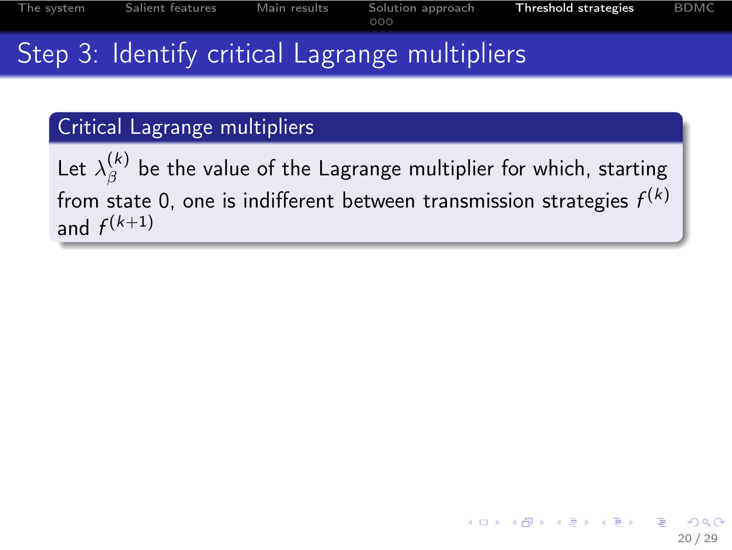# Critical Lagrange multipliers

Let  $\lambda_{\beta}^{(k)}$  $\hat{\mathcal{B}}'$  be the value of the Lagrange multiplier for which, starting from state 0, one is indifferent between transmission strategies  $f^{(k)}$ and  $f^{(k+1)}$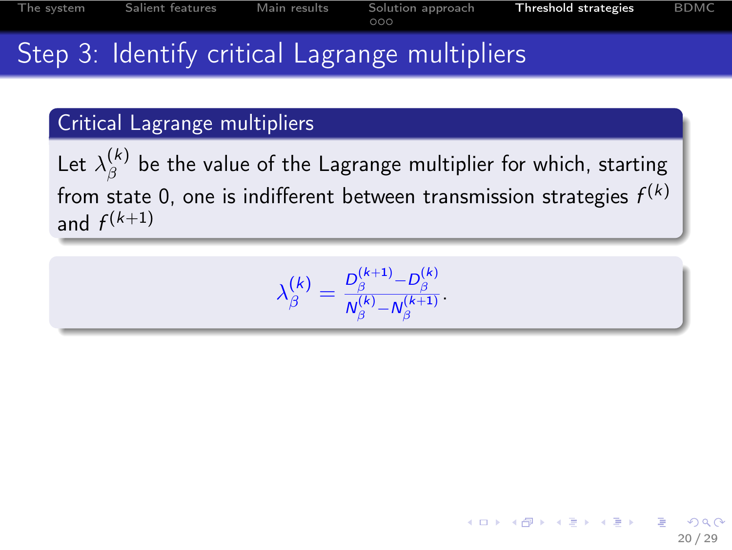# Critical Lagrange multipliers

Let  $\lambda_{\beta}^{(k)}$  $\hat{\beta}'$  be the value of the Lagrange multiplier for which, starting from state 0, one is indifferent between transmission strategies  $f^{(k)}$ and  $f^{(k+1)}$ 

$$
\lambda_{\beta}^{(k)} = \frac{D_{\beta}^{(k+1)} - D_{\beta}^{(k)}}{N_{\beta}^{(k)} - N_{\beta}^{(k+1)}}.
$$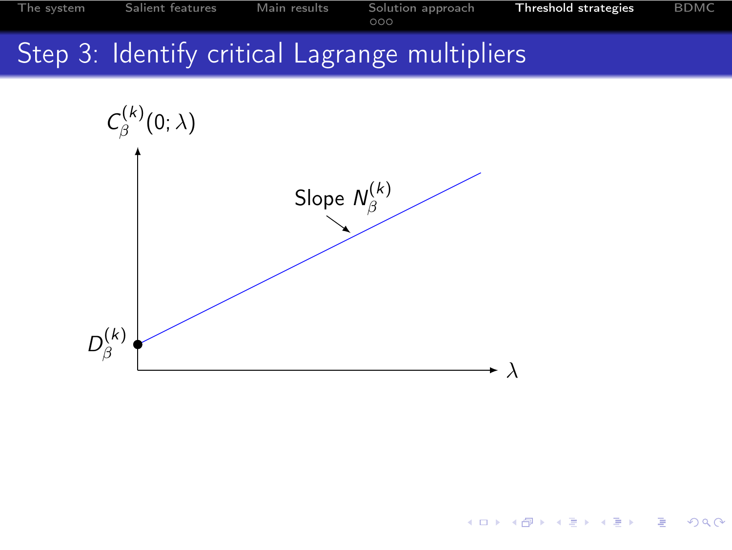イロメ イ部メ イミメ イモメ

G.

 $299$ 

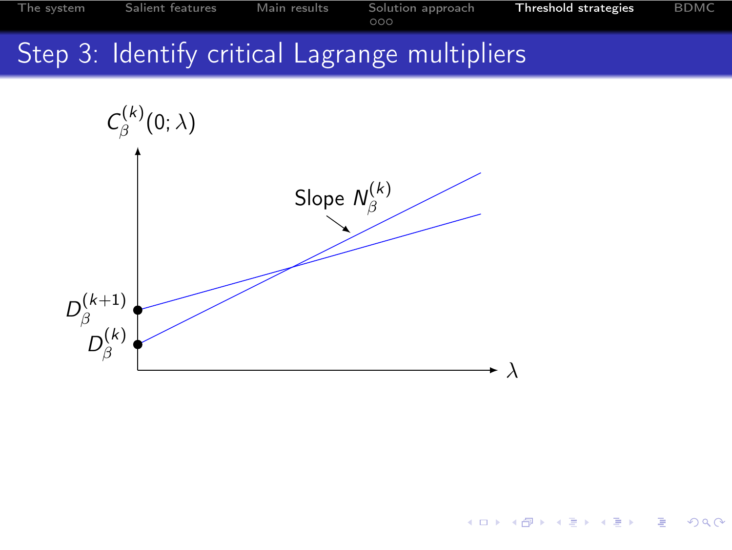イロメ イ部メ イミメ イモメ

G.

 $299$ 

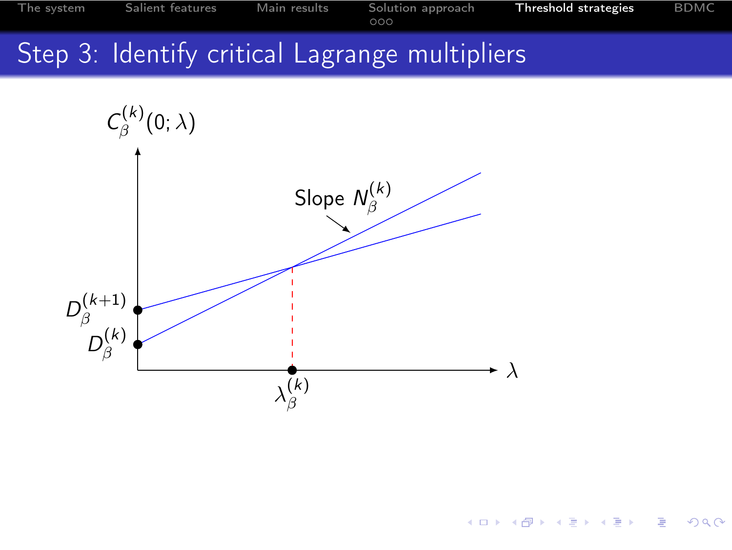

イロメ イ部メ イミメ イモメ G.  $299$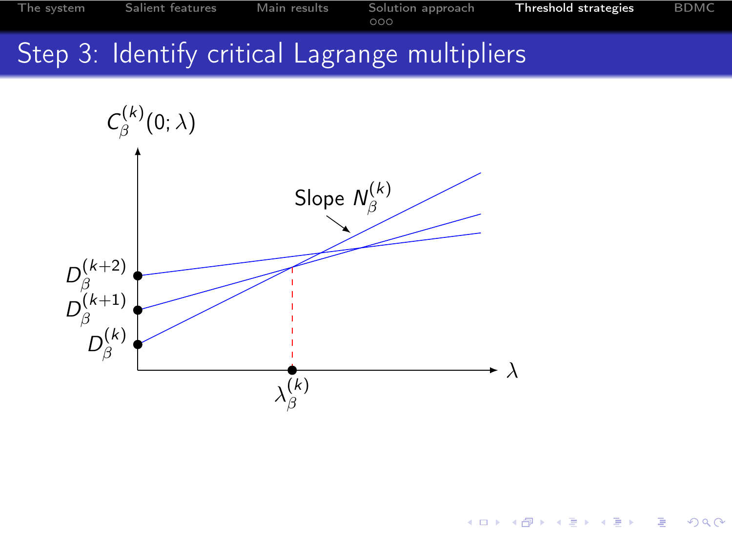

**K ロ ト K 御 ト K 澄 ト K 澄 ト** G.  $299$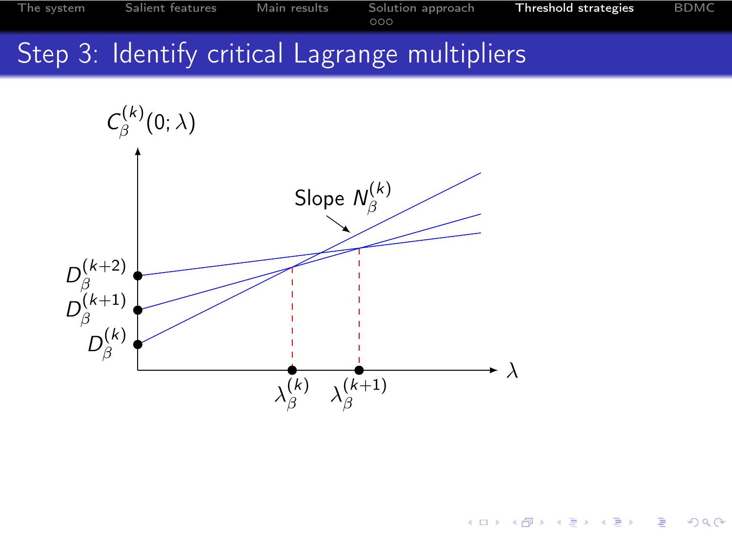

イロメ イ部メ イミメ イモメ G.  $299$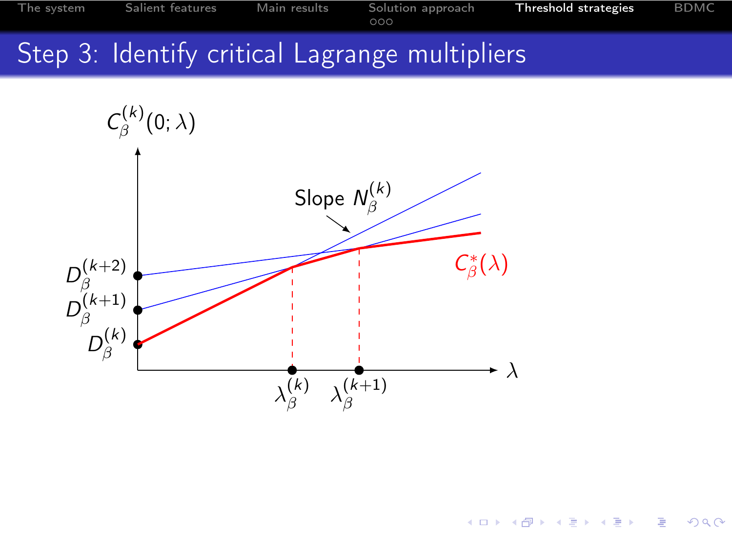

イロメ イ部メ イミメ イモメ G.  $299$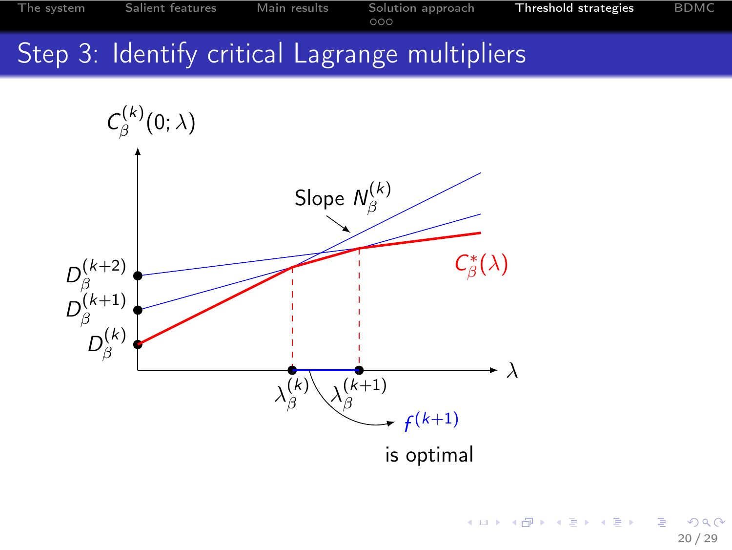

キロメ メ都 メメ きょうくぼう  $209$ 20 / 29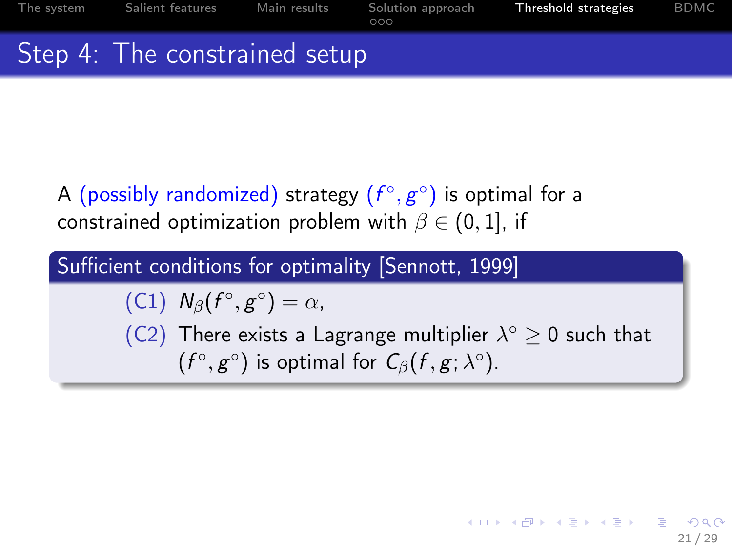

A (possibly randomized) strategy  $(f^\circ,g^\circ)$  is optimal for a constrained optimization problem with  $\beta \in (0, 1]$ , if

Sufficient conditions for optimality [Sennott, 1999]

(C1)  $N_{\beta}(f^{\circ}, g^{\circ}) = \alpha$ ,

(C2) There exists a Lagrange multiplier  $\lambda^{\circ} \geq 0$  such that  $(f^{\circ}, g^{\circ})$  is optimal for  $C_{\beta}(f, g; \lambda^{\circ})$ .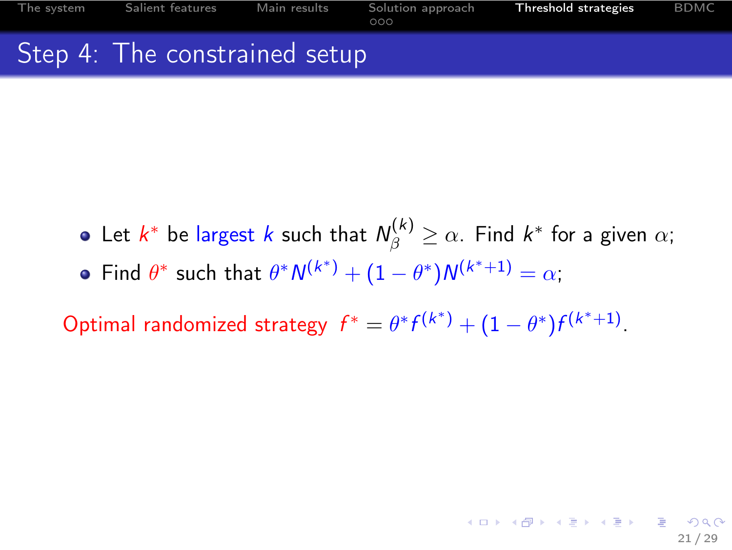

- Let  $k^*$  be largest  $k$  such that  $\mathcal{N}_{\beta}^{(k)} \geq \alpha$ . Find  $k^*$  for a given  $\alpha;$
- Find  $\theta^*$  such that  $\theta^* N^{(k^*)} + (1 \theta^*) N^{(k^*+1)} = \alpha;$

Optimal randomized strategy  $f^* = \theta^* f^{(k^*)} + (1 - \theta^*) f^{(k^*+1)}$ .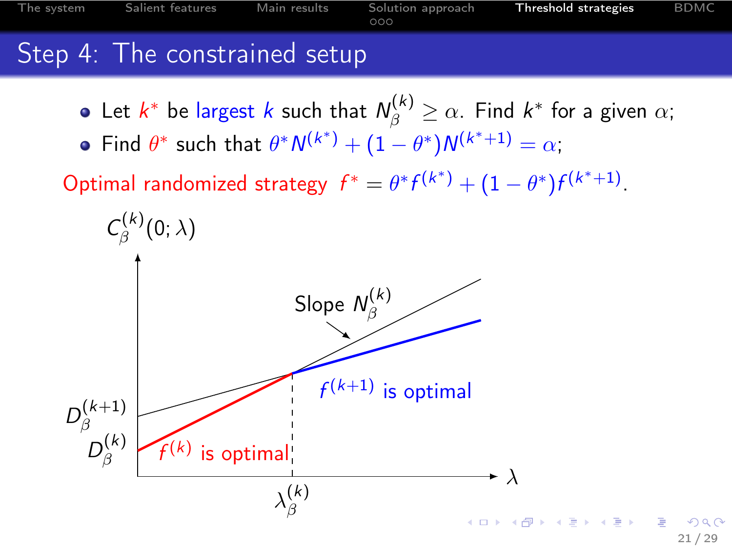[The system](#page-3-0) [Salient features](#page-7-0) [Main results](#page-11-0) [Solution approach](#page-16-0) [Threshold strategies](#page-22-0) [BDMC](#page-43-0)<br>000 Step 4: The constrained setup

- Let  $k^*$  be largest  $k$  such that  $\mathcal{N}_{\beta}^{(k)} \geq \alpha$ . Find  $k^*$  for a given  $\alpha;$
- Find  $\theta^*$  such that  $\theta^* N^{(k^*)} + (1 \theta^*) N^{(k^*+1)} = \alpha;$

Optimal randomized strategy  $f^* = \theta^* f^{(k^*)} + (1 - \theta^*) f^{(k^*+1)}$ .

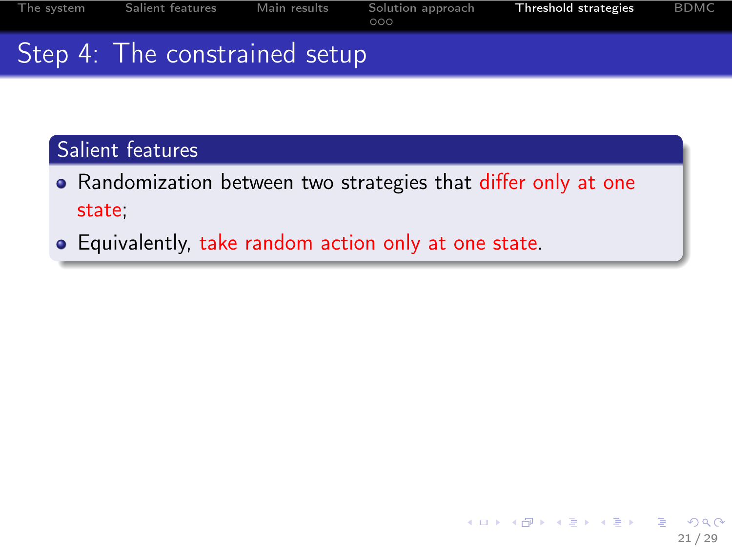|                               | 000 | The system         Salient features         Main results         Solution approach <b>Threshold strategies</b> | BDMC |
|-------------------------------|-----|----------------------------------------------------------------------------------------------------------------|------|
| Step 4: The constrained setup |     |                                                                                                                |      |
|                               |     |                                                                                                                |      |

#### Salient features

- Randomization between two strategies that differ only at one state;
- Equivalently, take random action only at one state.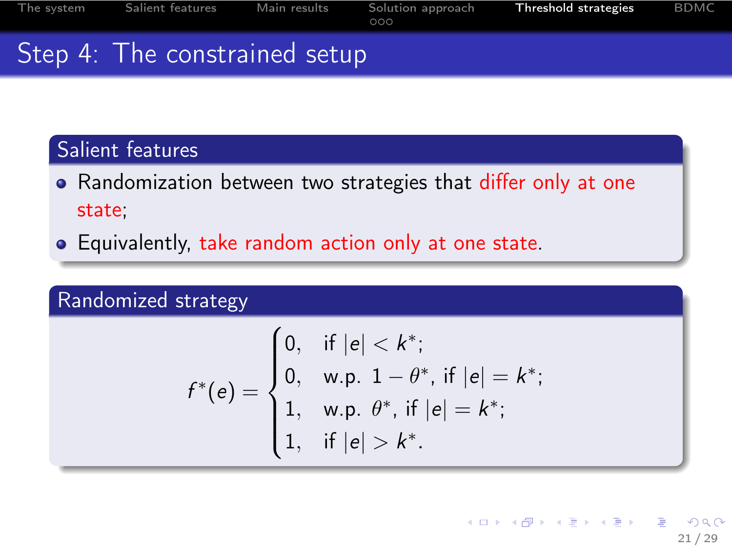[The system](#page-3-0) [Salient features](#page-7-0) [Main results](#page-11-0) [Solution approach](#page-16-0) [Threshold strategies](#page-22-0) [BDMC](#page-43-0)<br>000 Step 4: The constrained setup

#### Salient features

- Randomization between two strategies that differ only at one state;
- Equivalently, take random action only at one state.

#### Randomized strategy

$$
f^*(e) = \begin{cases} 0, & \text{if } |e| < k^*; \\ 0, & \text{w.p. } 1 - \theta^*, \text{ if } |e| = k^*; \\ 1, & \text{w.p. } \theta^*, \text{ if } |e| = k^*; \\ 1, & \text{if } |e| > k^*. \end{cases}
$$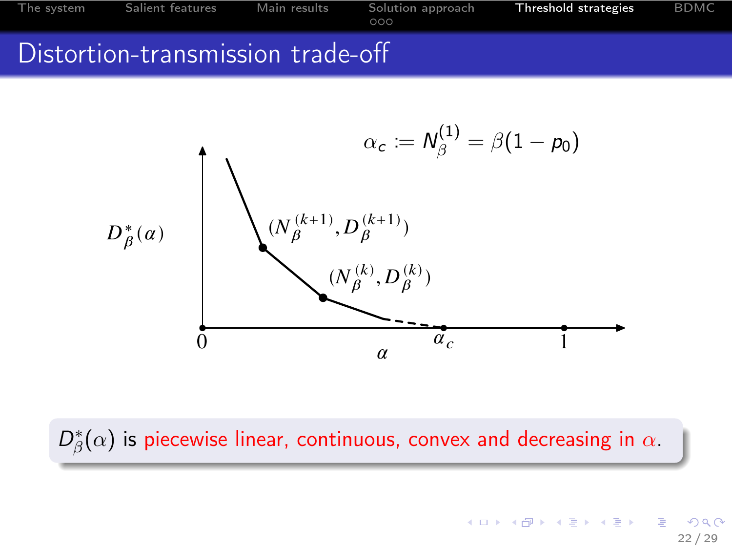



 $D^*_\beta(\alpha)$  is piecewise linear, continuous, convex and decreasing in  $\alpha.$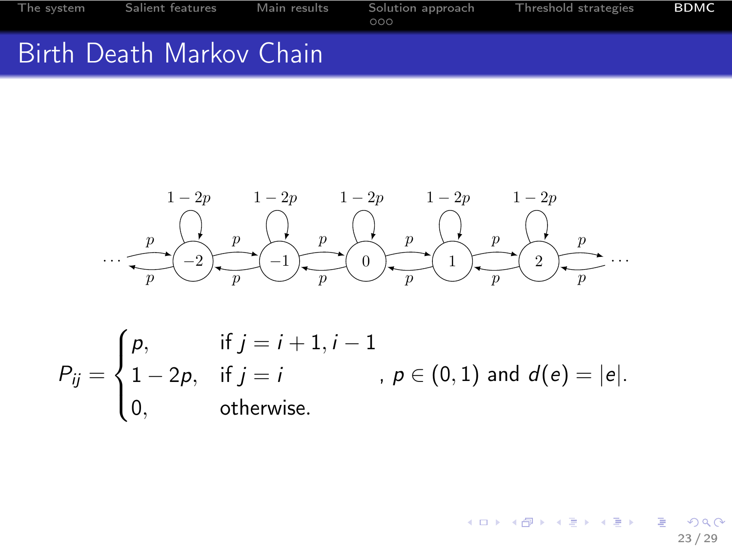



$$
P_{ij} = \begin{cases} p, & \text{if } j = i + 1, i - 1 \\ 1 - 2p, & \text{if } j = i \\ 0, & \text{otherwise.} \end{cases}, p \in (0, 1) \text{ and } d(e) = |e|.
$$

<span id="page-43-0"></span>メロト メタト メミト メミト G.  $299$ 23 / 29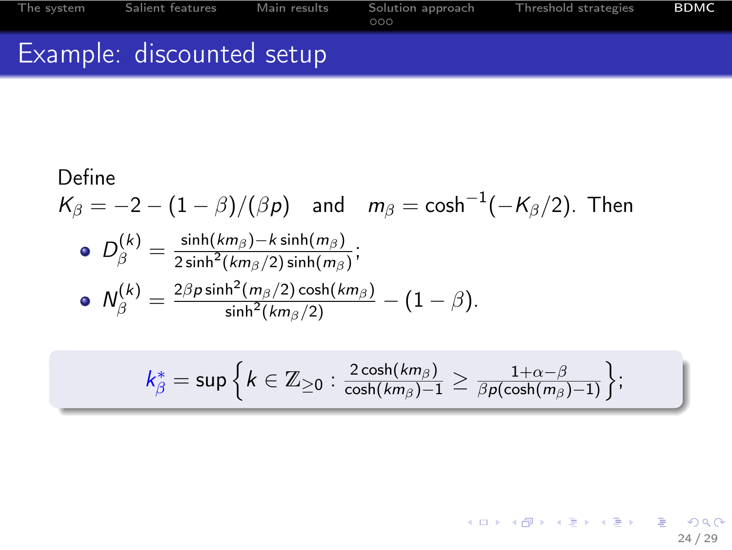

Define  
\n
$$
K_{\beta} = -2 - (1 - \beta)/(\beta p)
$$
 and 
$$
m_{\beta} = \cosh^{-1}(-K_{\beta}/2)
$$
. Then  
\n• 
$$
D_{\beta}^{(k)} = \frac{\sinh(km_{\beta}) - k \sinh(m_{\beta})}{2 \sinh^2(km_{\beta}/2) \sinh(m_{\beta})};
$$
  
\n• 
$$
N_{\beta}^{(k)} = \frac{2\beta p \sinh^2(m_{\beta}/2) \cosh(km_{\beta})}{\sinh^2(km_{\beta}/2)} - (1 - \beta).
$$

$$
k_{\beta}^* = \sup \left\{ k \in \mathbb{Z}_{\geq 0} : \frac{2 \cosh(k m_{\beta})}{\cosh(k m_{\beta}) - 1} \geq \frac{1 + \alpha - \beta}{\beta p(\cosh(m_{\beta}) - 1)} \right\};
$$

24 / 29

 $299$ 

E

メロメ メ都 メメ ミメ メモメ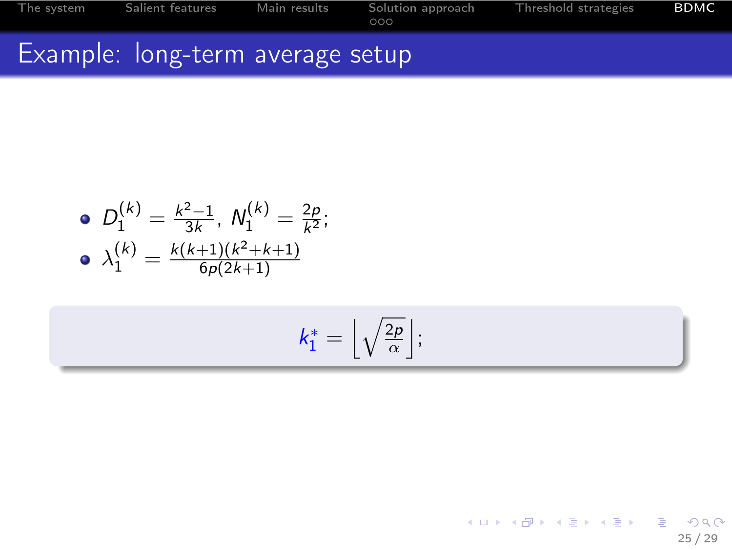

\n- • 
$$
D_1^{(k)} = \frac{k^2 - 1}{3k}
$$
,  $N_1^{(k)} = \frac{2p}{k^2}$ ;
\n- •  $\lambda_1^{(k)} = \frac{k(k+1)(k^2 + k + 1)}{6p(2k+1)}$
\n

$$
k_1^* = \left\lfloor \sqrt{\frac{2\rho}{\alpha}} \right\rfloor;
$$

イロト イ部 トイモト イモドー G.  $299$ 25 / 29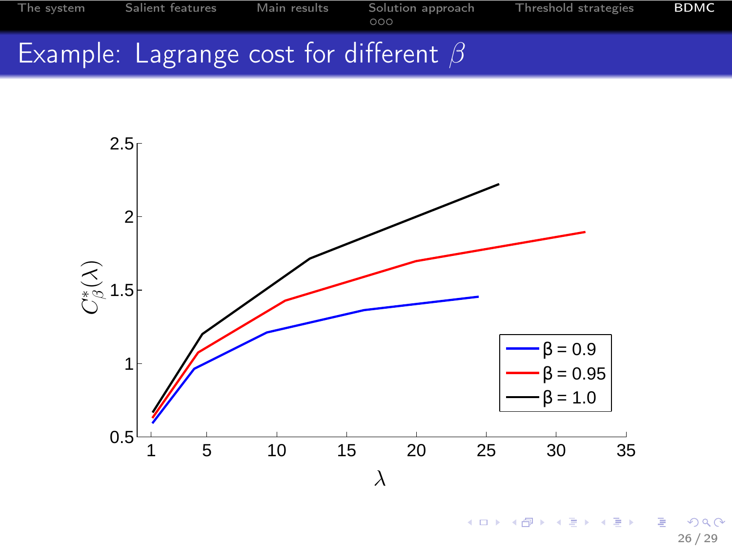



キロメ メ御き メモチ メモチ э  $290$ 26 / 29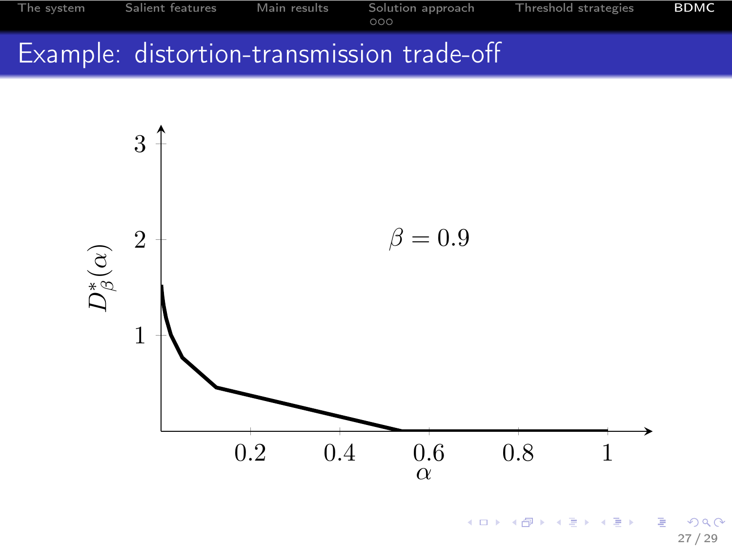



27 / 29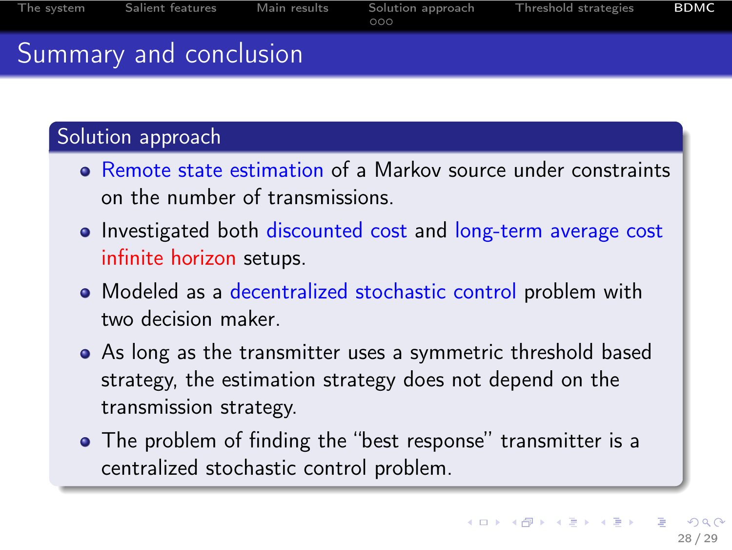| The system Salient features | Main results Solution approach<br>000 | Threshold strategies | BDMC |
|-----------------------------|---------------------------------------|----------------------|------|
| Summary and conclusion      |                                       |                      |      |

#### Solution approach

- Remote state estimation of a Markov source under constraints on the number of transmissions.
- Investigated both discounted cost and long-term average cost infinite horizon setups.
- Modeled as a decentralized stochastic control problem with two decision maker.
- As long as the transmitter uses a symmetric threshold based strategy, the estimation strategy does not depend on the transmission strategy.
- The problem of finding the "best response" transmitter is a centralized stochastic control problem.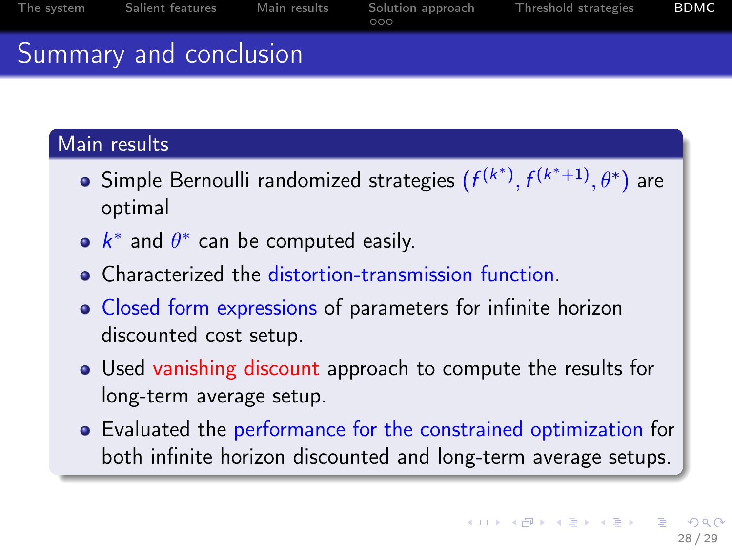| The system Salient features | Main results Solution approach<br>000 | Threshold strategies | <b>BDMC</b> |
|-----------------------------|---------------------------------------|----------------------|-------------|
| Summary and conclusion      |                                       |                      |             |

#### Main results

- Simple Bernoulli randomized strategies  $(f^{(k^*)},f^{(k^*+1)},\theta^*)$  are optimal
- $k^*$  and  $\theta^*$  can be computed easily.
- Characterized the distortion-transmission function.
- Closed form expressions of parameters for infinite horizon discounted cost setup.
- Used vanishing discount approach to compute the results for long-term average setup.
- Evaluated the performance for the constrained optimization for both infinite horizon discounted and long-term average setups.